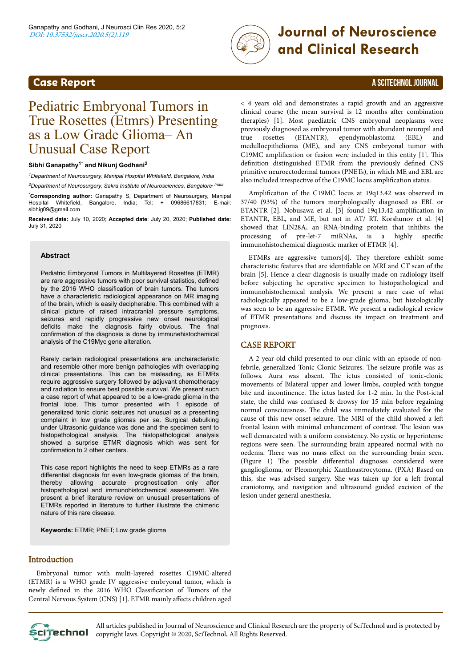

# **and Clinical Research**

### **Case Report** A SCITECHNOL JOURNAL

## Pediatric Embryonal Tumors in True Rosettes (Etmrs) Presenting as a Low Grade Glioma– An Unusual Case Report

#### **Sibhi Ganapathy1\* and Nikunj Godhani<sup>2</sup>**

*<sup>1</sup>Department of Neurosurgery, Manipal Hospital Whitefield, Bangalore, India*

*<sup>2</sup>Department of Neurosurgery, Sakra Institute of Neurosciences, Bangalore, India* \***Corresponding author:** Ganapathy S, Department of Neurosurgery, Manipal

Hospital Whitefield, Bangalore, India; Tel: + 09686617831; E-mail: sibhig09@gmail.com

**Received date:** July 10, 2020; **Accepted date**: July 20, 2020; **Published date:** July 31, 2020

#### **Abstract**

Pediatric Embryonal Tumors in Multilayered Rosettes (ETMR) are rare aggressive tumors with poor survival statistics, defined by the 2016 WHO classification of brain tumors. The tumors have a characteristic radiological appearance on MR imaging of the brain, which is easily decipherable. This combined with a clinical picture of raised intracranial pressure symptoms, seizures and rapidly progressive new onset neurological deficits make the diagnosis fairly obvious. The final confirmation of the diagnosis is done by immunehistochemical analysis of the C19Myc gene alteration.

Rarely certain radiological presentations are uncharacteristic and resemble other more benign pathologies with overlapping clinical presentations. This can be misleading, as ETMRs require aggressive surgery followed by adjuvant chemotherapy and radiation to ensure best possible survival. We present such a case report of what appeared to be a low-grade glioma in the frontal lobe. This tumor presented with 1 episode of generalized tonic clonic seizures not unusual as a presenting complaint in low grade gliomas per se. Surgical debulking under Ultrasonic guidance was done and the specimen sent to histopathological analysis. The histopathological analysis showed a surprise ETMR diagnosis which was sent for confirmation to 2 other centers.

This case report highlights the need to keep ETMRs as a rare differential diagnosis for even low-grade gliomas of the brain, thereby allowing accurate prognostication only after histopathological and immunohistochemical assessment. We present a brief literature review on unusual presentations of ETMRs reported in literature to further illustrate the chimeric nature of this rare disease.

**Keywords:** ETMR; PNET; Low grade glioma

#### **Introduction**

Embryonal tumor with multi-layered rosettes C19MC-altered (ETMR) is a WHO grade IV aggressive embryonal tumor, which is newly defined in the 2016 WHO Classification of Tumors of the Central Nervous System (CNS) [1]. ETMR mainly affects children aged

< 4 years old and demonstrates a rapid growth and an aggressive clinical course (the mean survival is 12 months after combination therapies) [1]. Most paediatric CNS embryonal neoplasms were previously diagnosed as embryonal tumor with abundant neuropil and true rosettes (ETANTR), ependymoblastoma (EBL) and medulloepithelioma (ME), and any CNS embryonal tumor with C19MC amplification or fusion were included in this entity [1]. This definition distinguished ETMR from the previously defined CNS primitive neuroectodermal tumors (PNETs), in which ME and EBL are also included irrespective of the C19MC locus amplification status.

Amplification of the C19MC locus at 19q13.42 was observed in 37/40 (93%) of the tumors morphologically diagnosed as EBL or ETANTR [2]. Nobusawa et al. [3] found 19q13.42 amplification in ETANTR, EBL, and ME, but not in AT/ RT. Korshunov et al. [4] showed that LIN28A, an RNA-binding protein that inhibits the processing of pre-let-7 miRNAs, is a highly specific immunohistochemical diagnostic marker of ETMR [4].

ETMRs are aggressive tumors $[4]$ . They therefore exhibit some characteristic features that are identifiable on MRI and CT scan of the brain [5]. Hence a clear diagnosis is usually made on radiology itself before subjecting he operative specimen to histopathological and immunohistochemical analysis. We present a rare case of what radiologically appeared to be a low-grade glioma, but histologically was seen to be an aggressive ETMR. We present a radiological review of ETMR presentations and discuss its impact on treatment and prognosis.

#### CASE REPORT

A 2-year-old child presented to our clinic with an episode of nonfebrile, generalized Tonic Clonic Seizures. The seizure profile was as follows. Aura was absent. Нe ictus consisted of tonic-clonic movements of Bilateral upper and lower limbs, coupled with tongue bite and incontinence. Нe ictus lasted for 1-2 min. In the Post-ictal state, the child was confused & drowsy for 15 min before regaining normal consciousness. Нe child was immediately evaluated for the cause of this new onset seizure. The MRI of the child showed a left frontal lesion with minimal enhancement of contrast. Нe lesion was well demarcated with a uniform consistency. No cystic or hyperintense regions were seen. Нe surrounding brain appeared normal with no oedema. There was no mass effect on the surrounding brain seen. (Figure 1) The possible differential diagnoses considered were ganglioglioma, or Pleomorphic Xanthoastrocytoma. (PXA) Based on this, she was advised surgery. She was taken up for a left frontal craniotomy, and navigation and ultrasound guided excision of the lesion under general anesthesia.

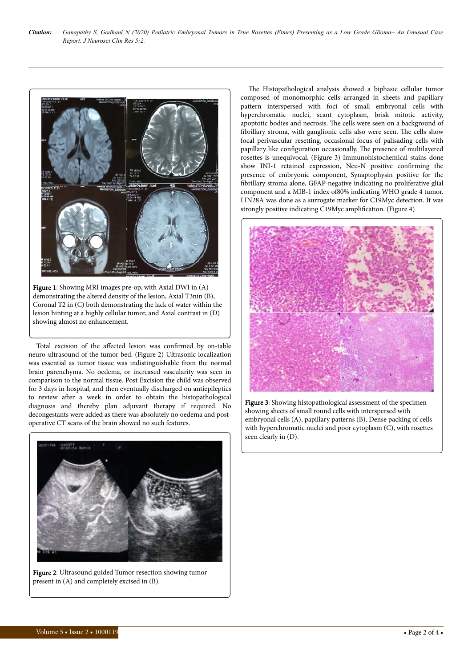

Figure 1: Showing MRI images pre-op, with Axial DWI in (A) demonstrating the altered density of the lesion, Axial T3nin (B), Coronal T2 in (C) both demonstrating the lack of water within the lesion hinting at a highly cellular tumor, and Axial contrast in (D) showing almost no enhancement.

Total excision of the affected lesion was confirmed by on-table neuro-ultrasound of the tumor bed. (Figure 2) Ultrasonic localization was essential as tumor tissue was indistinguishable from the normal brain parenchyma. No oedema, or increased vascularity was seen in comparison to the normal tissue. Post Excision the child was observed for 3 days in hospital, and then eventually discharged on antiepileptics to review after a week in order to obtain the histopathological diagnosis and thereby plan adjuvant therapy if required. No decongestants were added as there was absolutely no oedema and postoperative CT scans of the brain showed no such features.



Figure 2: Ultrasound guided Tumor resection showing tumor present in (A) and completely excised in (B).

The Histopathological analysis showed a biphasic cellular tumor composed of monomorphic cells arranged in sheets and papillary pattern interspersed with foci of small embryonal cells with hyperchromatic nuclei, scant cytoplasm, brisk mitotic activity, apoptotic bodies and necrosis. Нe cells were seen on a background of fibrillary stroma, with ganglionic cells also were seen. The cells show focal perivascular resetting, occasional focus of palisading cells with papillary like configuration occasionally. The presence of multilayered rosettes is unequivocal. (Figure 3) Immunohistochemical stains done show INI-1 retained expression, Neu-N positive confirming the presence of embryonic component, Synaptophysin positive for the fibrillary stroma alone, GFAP-negative indicating no proliferative glial component and a MIB-1 index of80% indicating WHO grade 4 tumor. LIN28A was done as a surrogate marker for C19Myc detection. It was strongly positive indicating C19Myc amplification. (Figure 4)



Figure 3: Showing histopathological assessment of the specimen showing sheets of small round cells with interspersed with embryonal cells (A), papillary patterns (B), Dense packing of cells with hyperchromatic nuclei and poor cytoplasm (C), with rosettes seen clearly in (D).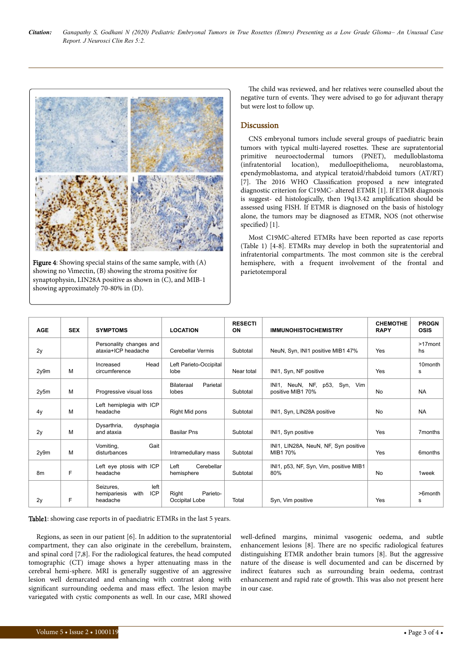

Figure 4: Showing special stains of the same sample, with  $(A)$ showing no Vimectin, (B) showing the stroma positive for synaptophysin, LIN28A positive as shown in (C), and MIB-1 showing approximately 70-80% in (D).

The child was reviewed, and her relatives were counselled about the negative turn of events. They were advised to go for adjuvant therapy but were lost to follow up.

#### **Discussion**

CNS embryonal tumors include several groups of paediatric brain tumors with typical multi-layered rosettes. Нese are supratentorial primitive neuroectodermal tumors (PNET), medulloblastoma<br>(infratentorial location), medulloepithelioma, neuroblastoma, medulloepithelioma, neuroblastoma, ependymoblastoma, and atypical teratoid/rhabdoid tumors (AT/RT) [7]. The 2016 WHO Classification proposed a new integrated diagnostic criterion for C19MC- altered ETMR [1]. If ETMR diagnosis is suggest- ed histologically, then 19q13.42 amplification should be assessed using FISH. If ETMR is diagnosed on the basis of histology alone, the tumors may be diagnosed as ETMR, NOS (not otherwise specified) [1].

Most C19MC-altered ETMRs have been reported as case reports (Table 1) [4-8]. ETMRs may develop in both the supratentorial and infratentorial compartments. Нe most common site is the cerebral hemisphere, with a frequent involvement of the frontal and parietotemporal

| <b>AGE</b> | <b>SEX</b> | <b>SYMPTOMS</b>                                                     | <b>LOCATION</b>                     | <b>RESECTI</b><br>ON | <b>IMMUNOHISTOCHEMISTRY</b>                        | <b>CHEMOTHE</b><br><b>RAPY</b> | <b>PROGN</b><br><b>OSIS</b> |
|------------|------------|---------------------------------------------------------------------|-------------------------------------|----------------------|----------------------------------------------------|--------------------------------|-----------------------------|
| 2y         |            | Personality changes and<br>ataxia+ICP headache                      | Cerebellar Vermis                   | Subtotal             | NeuN, Syn, INI1 positive MIB1 47%                  | Yes                            | >17mont<br>hs               |
| 2y9m       | M          | Head<br>Increased<br>circumference                                  | Left Parieto-Occipital<br>lobe      | Near total           | INI1, Syn, NF positive                             | Yes                            | 10 <sub>month</sub><br>s    |
| 2y5m       | M          | Progressive visual loss                                             | Parietal<br>Bilateraal<br>lobes     | Subtotal             | INI1, NeuN, NF, p53, Syn, Vim<br>positive MIB1 70% | <b>No</b>                      | <b>NA</b>                   |
| 4y         | M          | Left hemiplegia with ICP<br>headache                                | Right Mid pons                      | Subtotal             | INI1, Syn, LIN28A positive                         | No                             | <b>NA</b>                   |
| 2y         | M          | Dysarthria,<br>dysphagia<br>and ataxia                              | <b>Basilar Pns</b>                  | Subtotal             | INI1, Syn positive                                 | Yes                            | 7months                     |
| 2y9m       | M          | Gait<br>Vomiting.<br>disturbances                                   | Intramedullary mass                 | Subtotal             | INI1, LIN28A, NeuN, NF, Syn positive<br>MIB1 70%   | Yes                            | 6 <sub>m</sub> onths        |
| 8m         | F          | Left eye ptosis with ICP<br>headache                                | Left<br>Cerebellar<br>hemisphere    | Subtotal             | INI1, p53, NF, Syn, Vim, positive MIB1<br>80%      | No                             | 1week                       |
| 2y         | F          | left<br>Seizures,<br><b>ICP</b><br>hemipariesis<br>with<br>headache | Right<br>Parieto-<br>Occipital Lobe | Total                | Syn, Vim positive                                  | Yes                            | >6month<br>s                |

Table1: showing case reports in of paediatric ETMRs in the last 5 years.

Regions, as seen in our patient [6]. In addition to the supratentorial compartment, they can also originate in the cerebellum, brainstem, and spinal cord [7,8]. For the radiological features, the head computed tomographic (CT) image shows a hyper attenuating mass in the cerebral hemi-sphere. MRI is generally suggestive of an aggressive lesion well demarcated and enhancing with contrast along with significant surrounding oedema and mass effect. The lesion maybe variegated with cystic components as well. In our case, MRI showed

well-defined margins, minimal vasogenic oedema, and subtle enhancement lesions [8]. There are no specific radiological features distinguishing ETMR andother brain tumors [8]. But the aggressive nature of the disease is well documented and can be discerned by indirect features such as surrounding brain oedema, contrast enhancement and rapid rate of growth. This was also not present here in our case.